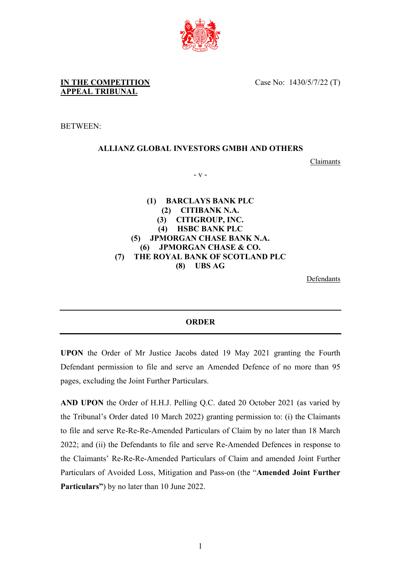

Case No: 1430/5/7/22 (T)

BETWEEN:

## **ALLIANZ GLOBAL INVESTORS GMBH AND OTHERS**

Claimants

- v -

**(1) BARCLAYS BANK PLC (2) CITIBANK N.A. (3) CITIGROUP, INC. (4) HSBC BANK PLC (5) JPMORGAN CHASE BANK N.A. (6) JPMORGAN CHASE & CO. (7) THE ROYAL BANK OF SCOTLAND PLC (8) UBS AG**

Defendants

## **ORDER**

**UPON** the Order of Mr Justice Jacobs dated 19 May 2021 granting the Fourth Defendant permission to file and serve an Amended Defence of no more than 95 pages, excluding the Joint Further Particulars.

**AND UPON** the Order of H.H.J. Pelling Q.C. dated 20 October 2021 (as varied by the Tribunal's Order dated 10 March 2022) granting permission to: (i) the Claimants to file and serve Re-Re-Re-Amended Particulars of Claim by no later than 18 March 2022; and (ii) the Defendants to file and serve Re-Amended Defences in response to the Claimants' Re-Re-Re-Amended Particulars of Claim and amended Joint Further Particulars of Avoided Loss, Mitigation and Pass-on (the "**Amended Joint Further Particulars"**) by no later than 10 June 2022.